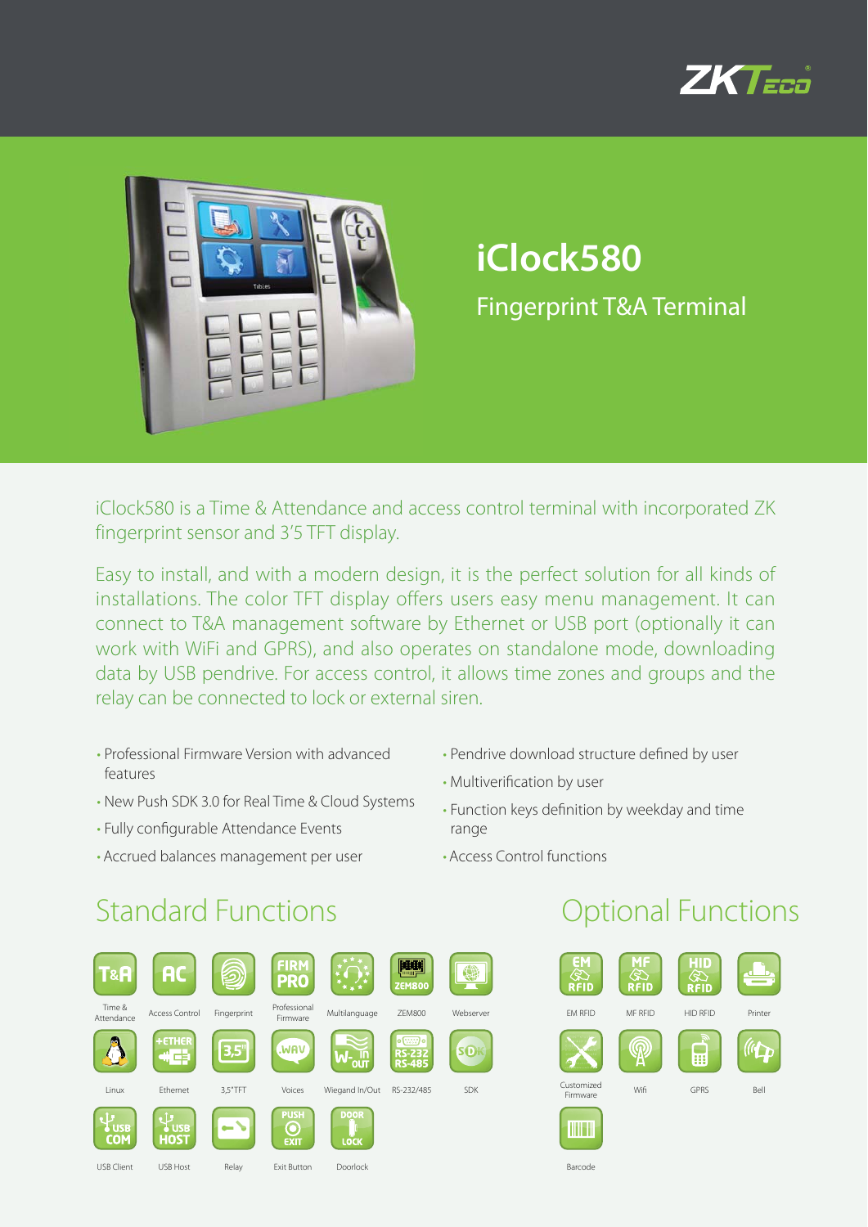



# **iClock580** Fingerprint T&A Terminal

iClock580 is a Time & Attendance and access control terminal with incorporated ZK fingerprint sensor and 3'5 TFT display.

Easy to install, and with a modern design, it is the perfect solution for all kinds of installations. The color TFT display offers users easy menu management. It can connect to T&A management software by Ethernet or USB port (optionally it can work with WiFi and GPRS), and also operates on standalone mode, downloading data by USB pendrive. For access control, it allows time zones and groups and the relay can be connected to lock or external siren.

- Professional Firmware Version with advanced features
- New Push SDK 3.0 for Real Time & Cloud Systems
- Fully configurable Attendance Events
- Accrued balances management per user
- Pendrive download structure defined by user
- Multiverification by user
- Function keys definition by weekday and time range

Barcode

• Access Control functions

### Standard Functions **Contract Contract Contract Contract Contract Contract Contract Contract Contract Contract Contract Contract Contract Contract Contract Contract Contract Contract Contract Contract Contract Contract Cont**

| Г&А                      | <b>AC</b>                        |             | <b>FIRM</b><br><b>PRO</b> |                     | <b>ZEM800</b>                                    |            |
|--------------------------|----------------------------------|-------------|---------------------------|---------------------|--------------------------------------------------|------------|
| Time &<br>Attendance     | <b>Access Control</b>            | Fingerprint | Professional<br>Firmware  | Multilanguage       | <b>ZEM800</b>                                    | Webserver  |
|                          | <b>+ETHER</b><br><b>ALL</b><br>中 | 3,5"        | WAV.                      |                     | $o$ (ssss) $o$<br><b>RS-232</b><br><b>RS-485</b> | SO         |
| Linux                    | Ethernet                         | 3,5"TFT     | Voices                    | Wiegand In/Out      | RS-232/485                                       | <b>SDK</b> |
| <b>USB</b><br><b>COM</b> | <b>USB</b><br><b>HOST</b>        |             | <b>PUSH</b><br>EXIT       | <b>DOOR</b><br>LOCK |                                                  |            |
| <b>USB Client</b>        | USB Host                         | Relay       | <b>Exit Button</b>        | Doorlock            |                                                  |            |